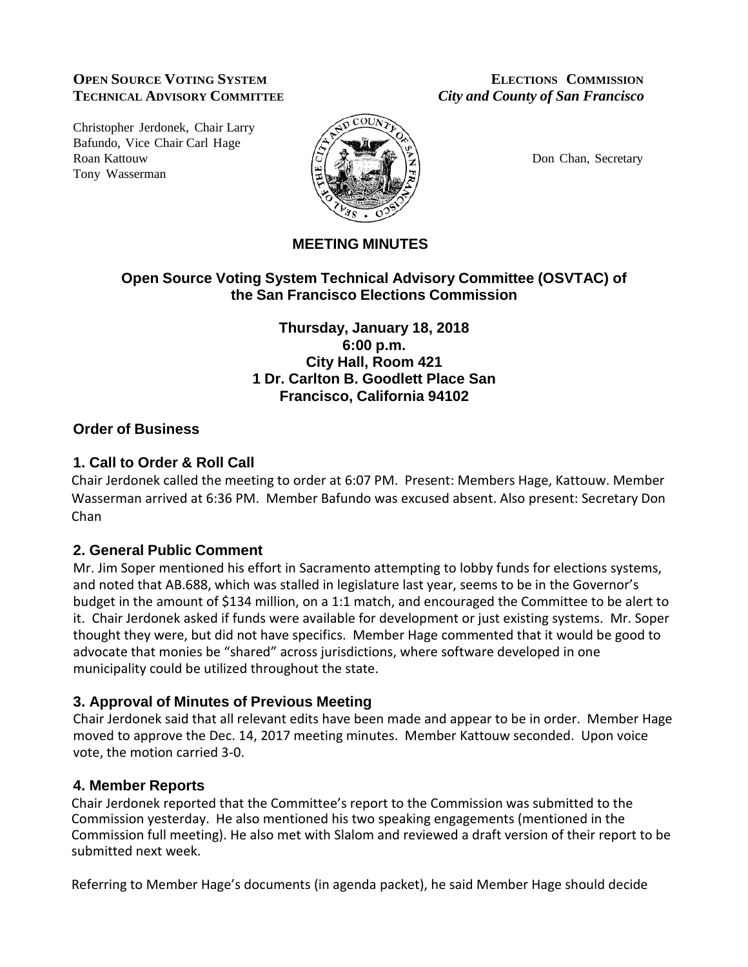### **OPEN SOURCE VOTING SYSTEM ELECTIONS COMMISSION TECHNICAL ADVISORY COMMITTEE** *City and County of San Francisco*

Christopher Jerdonek, Chair Larry Bafundo, Vice Chair Carl Hage Roan Kattouw  $|\tilde{C}|$   $|\tilde{C}|$   $|\tilde{C}|$   $|\tilde{C}|$  Don Chan, Secretary Tony Wasserman



# **MEETING MINUTES**

# **Open Source Voting System Technical Advisory Committee (OSVTAC) of the San Francisco Elections Commission**

### **Thursday, January 18, 2018 6:00 p.m. City Hall, Room 421 1 Dr. Carlton B. Goodlett Place San Francisco, California 94102**

## **Order of Business**

### **1. Call to Order & Roll Call**

Chair Jerdonek called the meeting to order at 6:07 PM. Present: Members Hage, Kattouw. Member Wasserman arrived at 6:36 PM. Member Bafundo was excused absent. Also present: Secretary Don Chan

## **2. General Public Comment**

Mr. Jim Soper mentioned his effort in Sacramento attempting to lobby funds for elections systems, and noted that AB.688, which was stalled in legislature last year, seems to be in the Governor's budget in the amount of \$134 million, on a 1:1 match, and encouraged the Committee to be alert to it. Chair Jerdonek asked if funds were available for development or just existing systems. Mr. Soper thought they were, but did not have specifics. Member Hage commented that it would be good to advocate that monies be "shared" across jurisdictions, where software developed in one municipality could be utilized throughout the state.

## **3. Approval of Minutes of Previous Meeting**

Chair Jerdonek said that all relevant edits have been made and appear to be in order. Member Hage moved to approve the Dec. 14, 2017 meeting minutes. Member Kattouw seconded. Upon voice vote, the motion carried 3-0.

#### **4. Member Reports**

Chair Jerdonek reported that the Committee's report to the Commission was submitted to the Commission yesterday. He also mentioned his two speaking engagements (mentioned in the Commission full meeting). He also met with Slalom and reviewed a draft version of their report to be submitted next week.

Referring to Member Hage's documents (in agenda packet), he said Member Hage should decide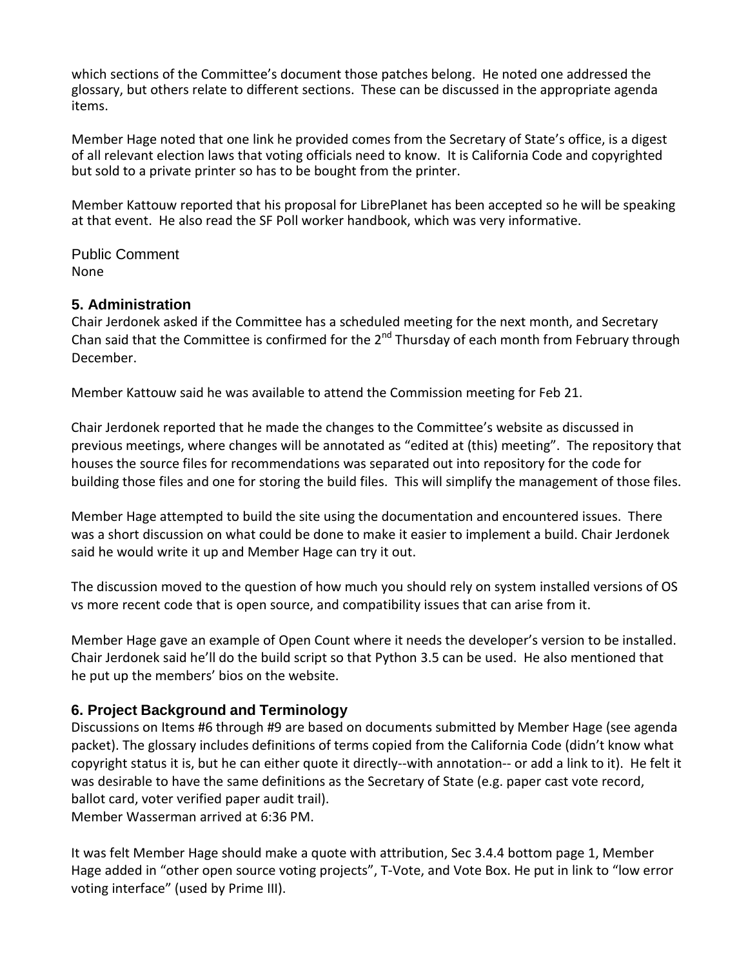which sections of the Committee's document those patches belong. He noted one addressed the glossary, but others relate to different sections. These can be discussed in the appropriate agenda items.

Member Hage noted that one link he provided comes from the Secretary of State's office, is a digest of all relevant election laws that voting officials need to know. It is California Code and copyrighted but sold to a private printer so has to be bought from the printer.

Member Kattouw reported that his proposal for LibrePlanet has been accepted so he will be speaking at that event. He also read the SF Poll worker handbook, which was very informative.

Public Comment None

### **5. Administration**

Chair Jerdonek asked if the Committee has a scheduled meeting for the next month, and Secretary Chan said that the Committee is confirmed for the  $2^{nd}$  Thursday of each month from February through December.

Member Kattouw said he was available to attend the Commission meeting for Feb 21.

Chair Jerdonek reported that he made the changes to the Committee's website as discussed in previous meetings, where changes will be annotated as "edited at (this) meeting". The repository that houses the source files for recommendations was separated out into repository for the code for building those files and one for storing the build files. This will simplify the management of those files.

Member Hage attempted to build the site using the documentation and encountered issues. There was a short discussion on what could be done to make it easier to implement a build. Chair Jerdonek said he would write it up and Member Hage can try it out.

The discussion moved to the question of how much you should rely on system installed versions of OS vs more recent code that is open source, and compatibility issues that can arise from it.

Member Hage gave an example of Open Count where it needs the developer's version to be installed. Chair Jerdonek said he'll do the build script so that Python 3.5 can be used. He also mentioned that he put up the members' bios on the website.

## **6. Project Background and Terminology**

Discussions on Items #6 through #9 are based on documents submitted by Member Hage (see agenda packet). The glossary includes definitions of terms copied from the California Code (didn't know what copyright status it is, but he can either quote it directly--with annotation-- or add a link to it). He felt it was desirable to have the same definitions as the Secretary of State (e.g. paper cast vote record, ballot card, voter verified paper audit trail).

Member Wasserman arrived at 6:36 PM.

It was felt Member Hage should make a quote with attribution, Sec 3.4.4 bottom page 1, Member Hage added in "other open source voting projects", T-Vote, and Vote Box. He put in link to "low error voting interface" (used by Prime III).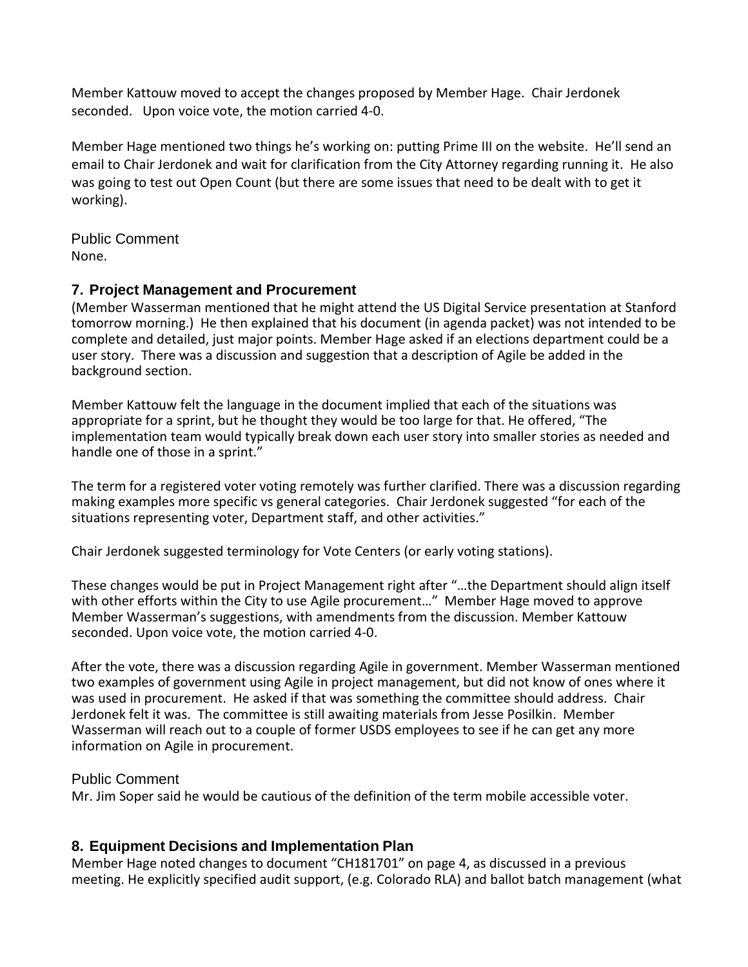Member Kattouw moved to accept the changes proposed by Member Hage. Chair Jerdonek seconded. Upon voice vote, the motion carried 4-0.

Member Hage mentioned two things he's working on: putting Prime III on the website. He'll send an email to Chair Jerdonek and wait for clarification from the City Attorney regarding running it. He also was going to test out Open Count (but there are some issues that need to be dealt with to get it working).

Public Comment None.

## **7. Project Management and Procurement**

(Member Wasserman mentioned that he might attend the US Digital Service presentation at Stanford tomorrow morning.) He then explained that his document (in agenda packet) was not intended to be complete and detailed, just major points. Member Hage asked if an elections department could be a user story. There was a discussion and suggestion that a description of Agile be added in the background section.

Member Kattouw felt the language in the document implied that each of the situations was appropriate for a sprint, but he thought they would be too large for that. He offered, "The implementation team would typically break down each user story into smaller stories as needed and handle one of those in a sprint."

The term for a registered voter voting remotely was further clarified. There was a discussion regarding making examples more specific vs general categories. Chair Jerdonek suggested "for each of the situations representing voter, Department staff, and other activities."

Chair Jerdonek suggested terminology for Vote Centers (or early voting stations).

These changes would be put in Project Management right after "…the Department should align itself with other efforts within the City to use Agile procurement..." Member Hage moved to approve Member Wasserman's suggestions, with amendments from the discussion. Member Kattouw seconded. Upon voice vote, the motion carried 4-0.

After the vote, there was a discussion regarding Agile in government. Member Wasserman mentioned two examples of government using Agile in project management, but did not know of ones where it was used in procurement. He asked if that was something the committee should address. Chair Jerdonek felt it was. The committee is still awaiting materials from Jesse Posilkin. Member Wasserman will reach out to a couple of former USDS employees to see if he can get any more information on Agile in procurement.

#### Public Comment

Mr. Jim Soper said he would be cautious of the definition of the term mobile accessible voter.

## **8. Equipment Decisions and Implementation Plan**

Member Hage noted changes to document "CH181701" on page 4, as discussed in a previous meeting. He explicitly specified audit support, (e.g. Colorado RLA) and ballot batch management (what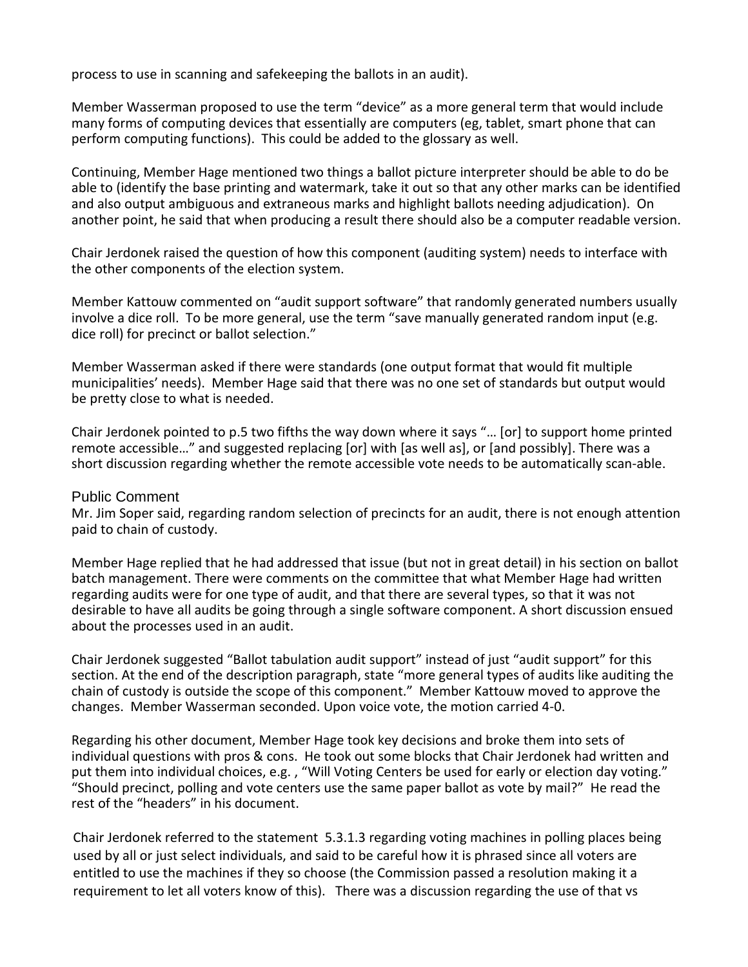process to use in scanning and safekeeping the ballots in an audit).

Member Wasserman proposed to use the term "device" as a more general term that would include many forms of computing devices that essentially are computers (eg, tablet, smart phone that can perform computing functions). This could be added to the glossary as well.

Continuing, Member Hage mentioned two things a ballot picture interpreter should be able to do be able to (identify the base printing and watermark, take it out so that any other marks can be identified and also output ambiguous and extraneous marks and highlight ballots needing adjudication). On another point, he said that when producing a result there should also be a computer readable version.

Chair Jerdonek raised the question of how this component (auditing system) needs to interface with the other components of the election system.

Member Kattouw commented on "audit support software" that randomly generated numbers usually involve a dice roll. To be more general, use the term "save manually generated random input (e.g. dice roll) for precinct or ballot selection."

Member Wasserman asked if there were standards (one output format that would fit multiple municipalities' needs). Member Hage said that there was no one set of standards but output would be pretty close to what is needed.

Chair Jerdonek pointed to p.5 two fifths the way down where it says "… [or] to support home printed remote accessible…" and suggested replacing [or] with [as well as], or [and possibly]. There was a short discussion regarding whether the remote accessible vote needs to be automatically scan-able.

#### Public Comment

Mr. Jim Soper said, regarding random selection of precincts for an audit, there is not enough attention paid to chain of custody.

Member Hage replied that he had addressed that issue (but not in great detail) in his section on ballot batch management. There were comments on the committee that what Member Hage had written regarding audits were for one type of audit, and that there are several types, so that it was not desirable to have all audits be going through a single software component. A short discussion ensued about the processes used in an audit.

Chair Jerdonek suggested "Ballot tabulation audit support" instead of just "audit support" for this section. At the end of the description paragraph, state "more general types of audits like auditing the chain of custody is outside the scope of this component." Member Kattouw moved to approve the changes. Member Wasserman seconded. Upon voice vote, the motion carried 4-0.

Regarding his other document, Member Hage took key decisions and broke them into sets of individual questions with pros & cons. He took out some blocks that Chair Jerdonek had written and put them into individual choices, e.g., "Will Voting Centers be used for early or election day voting." "Should precinct, polling and vote centers use the same paper ballot as vote by mail?" He read the rest of the "headers" in his document.

Chair Jerdonek referred to the statement 5.3.1.3 regarding voting machines in polling places being used by all or just select individuals, and said to be careful how it is phrased since all voters are entitled to use the machines if they so choose (the Commission passed a resolution making it a requirement to let all voters know of this). There was a discussion regarding the use of that vs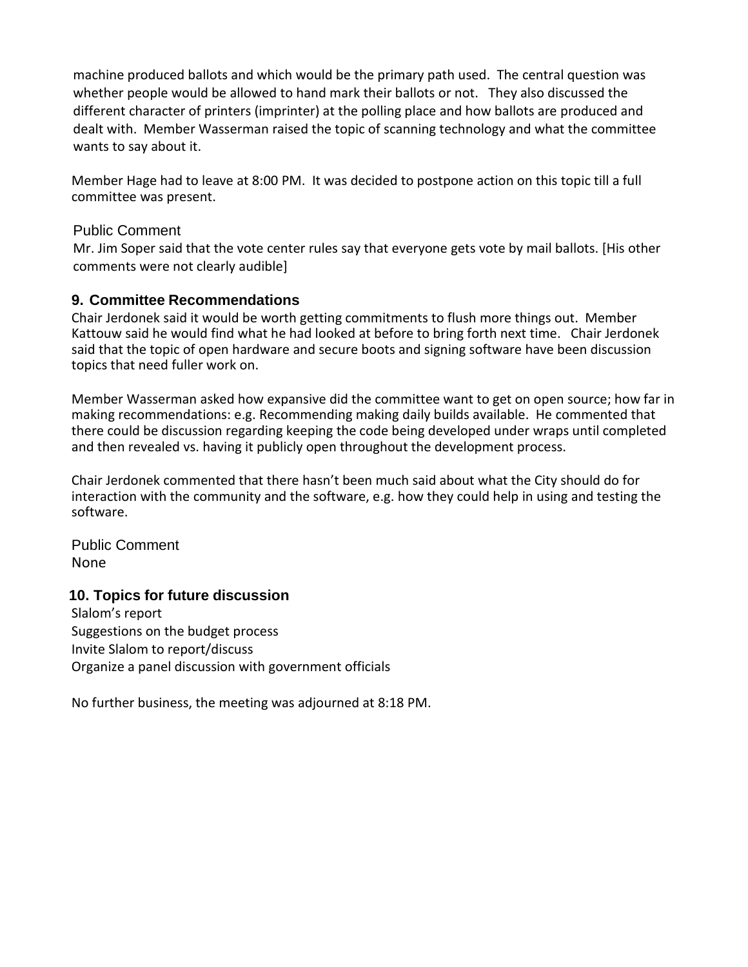machine produced ballots and which would be the primary path used. The central question was whether people would be allowed to hand mark their ballots or not. They also discussed the different character of printers (imprinter) at the polling place and how ballots are produced and dealt with. Member Wasserman raised the topic of scanning technology and what the committee wants to say about it.

Member Hage had to leave at 8:00 PM. It was decided to postpone action on this topic till a full committee was present.

### Public Comment

Mr. Jim Soper said that the vote center rules say that everyone gets vote by mail ballots. [His other comments were not clearly audible]

# **9. Committee Recommendations**

Chair Jerdonek said it would be worth getting commitments to flush more things out. Member Kattouw said he would find what he had looked at before to bring forth next time. Chair Jerdonek said that the topic of open hardware and secure boots and signing software have been discussion topics that need fuller work on.

Member Wasserman asked how expansive did the committee want to get on open source; how far in making recommendations: e.g. Recommending making daily builds available. He commented that there could be discussion regarding keeping the code being developed under wraps until completed and then revealed vs. having it publicly open throughout the development process.

Chair Jerdonek commented that there hasn't been much said about what the City should do for interaction with the community and the software, e.g. how they could help in using and testing the software.

Public Comment None

## **10. Topics for future discussion**

Slalom's report Suggestions on the budget process Invite Slalom to report/discuss Organize a panel discussion with government officials

No further business, the meeting was adjourned at 8:18 PM.